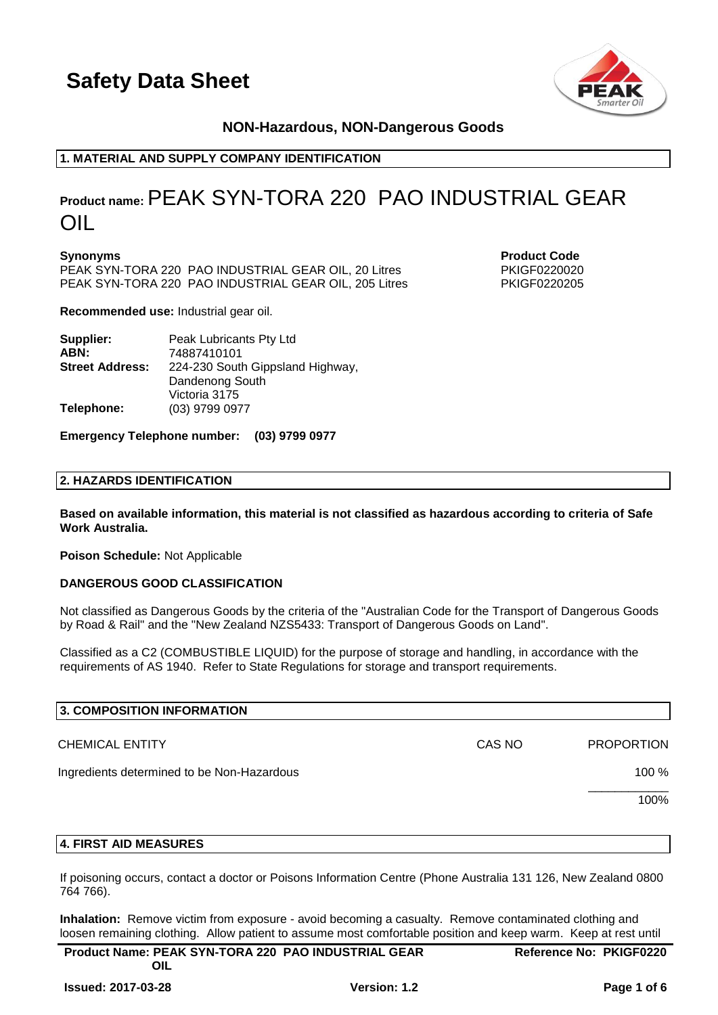

# **NON-Hazardous, NON-Dangerous Goods**

# **1. MATERIAL AND SUPPLY COMPANY IDENTIFICATION**

# **Product name:**PEAK SYN-TORA 220 PAO INDUSTRIAL GEAR OIL

**Synonyms Product Code** PEAK SYN-TORA 220 PAO INDUSTRIAL GEAR OIL, 20 Litres PKIGF0220020 PEAK SYN-TORA 220 PAO INDUSTRIAL GEAR OIL, 205 Litres PKIGF0220205

**Recommended use:** Industrial gear oil.

| Supplier:              | Peak Lubricants Pty Ltd          |
|------------------------|----------------------------------|
| ABN:                   | 74887410101                      |
| <b>Street Address:</b> | 224-230 South Gippsland Highway, |
|                        | Dandenong South                  |
|                        | Victoria 3175                    |
| Telephone:             | (03) 9799 0977                   |

#### **Emergency Telephone number: (03) 9799 0977**

#### **2. HAZARDS IDENTIFICATION**

**Based on available information, this material is not classified as hazardous according to criteria of Safe Work Australia.**

**Poison Schedule:** Not Applicable

#### **DANGEROUS GOOD CLASSIFICATION**

Not classified as Dangerous Goods by the criteria of the "Australian Code for the Transport of Dangerous Goods by Road & Rail" and the "New Zealand NZS5433: Transport of Dangerous Goods on Land".

Classified as a C2 (COMBUSTIBLE LIQUID) for the purpose of storage and handling, in accordance with the requirements of AS 1940. Refer to State Regulations for storage and transport requirements.

| 3. COMPOSITION INFORMATION                 |        |                   |
|--------------------------------------------|--------|-------------------|
| <b>CHEMICAL ENTITY</b>                     | CAS NO | <b>PROPORTION</b> |
| Ingredients determined to be Non-Hazardous |        | 100 %             |
|                                            |        | 100%              |
|                                            |        |                   |

#### **4. FIRST AID MEASURES**

If poisoning occurs, contact a doctor or Poisons Information Centre (Phone Australia 131 126, New Zealand 0800 764 766).

**Inhalation:** Remove victim from exposure - avoid becoming a casualty. Remove contaminated clothing and loosen remaining clothing. Allow patient to assume most comfortable position and keep warm. Keep at rest until

| <b>Product Name: PEAK SYN-TORA 220 PAO INDUSTRIAL GEAR</b> | <b>Reference No: PKIGF0220</b> |
|------------------------------------------------------------|--------------------------------|
| OIL                                                        |                                |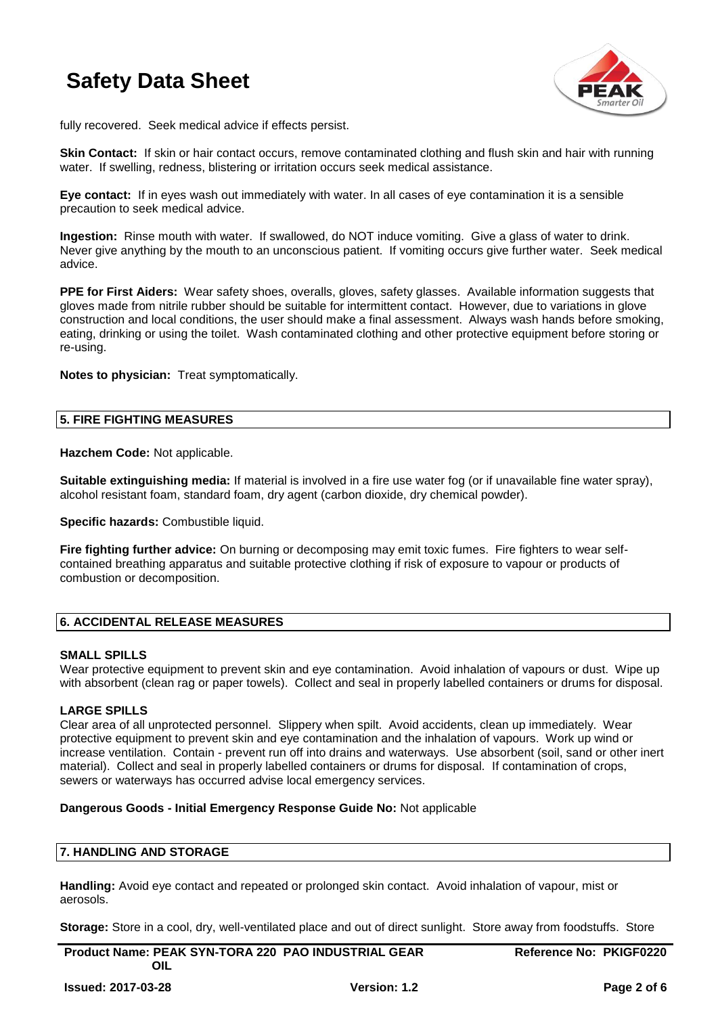

fully recovered. Seek medical advice if effects persist.

**Skin Contact:** If skin or hair contact occurs, remove contaminated clothing and flush skin and hair with running water. If swelling, redness, blistering or irritation occurs seek medical assistance.

**Eye contact:** If in eyes wash out immediately with water. In all cases of eye contamination it is a sensible precaution to seek medical advice.

**Ingestion:** Rinse mouth with water. If swallowed, do NOT induce vomiting. Give a glass of water to drink. Never give anything by the mouth to an unconscious patient. If vomiting occurs give further water. Seek medical advice.

**PPE for First Aiders:** Wear safety shoes, overalls, gloves, safety glasses. Available information suggests that gloves made from nitrile rubber should be suitable for intermittent contact. However, due to variations in glove construction and local conditions, the user should make a final assessment. Always wash hands before smoking, eating, drinking or using the toilet. Wash contaminated clothing and other protective equipment before storing or re-using.

**Notes to physician:** Treat symptomatically.

#### **5. FIRE FIGHTING MEASURES**

**Hazchem Code:** Not applicable.

**Suitable extinguishing media:** If material is involved in a fire use water fog (or if unavailable fine water spray), alcohol resistant foam, standard foam, dry agent (carbon dioxide, dry chemical powder).

**Specific hazards: Combustible liquid.** 

**Fire fighting further advice:** On burning or decomposing may emit toxic fumes. Fire fighters to wear selfcontained breathing apparatus and suitable protective clothing if risk of exposure to vapour or products of combustion or decomposition.

# **6. ACCIDENTAL RELEASE MEASURES**

#### **SMALL SPILLS**

Wear protective equipment to prevent skin and eye contamination. Avoid inhalation of vapours or dust. Wipe up with absorbent (clean rag or paper towels). Collect and seal in properly labelled containers or drums for disposal.

#### **LARGE SPILLS**

Clear area of all unprotected personnel. Slippery when spilt. Avoid accidents, clean up immediately. Wear protective equipment to prevent skin and eye contamination and the inhalation of vapours. Work up wind or increase ventilation. Contain - prevent run off into drains and waterways. Use absorbent (soil, sand or other inert material). Collect and seal in properly labelled containers or drums for disposal. If contamination of crops, sewers or waterways has occurred advise local emergency services.

#### **Dangerous Goods - Initial Emergency Response Guide No:** Not applicable

# **7. HANDLING AND STORAGE**

**Handling:** Avoid eye contact and repeated or prolonged skin contact. Avoid inhalation of vapour, mist or aerosols.

**Storage:** Store in a cool, dry, well-ventilated place and out of direct sunlight. Store away from foodstuffs. Store

**Product Name: PEAK SYN-TORA 220 PAO INDUSTRIAL GEAR OIL** 

**Reference No: PKIGF0220**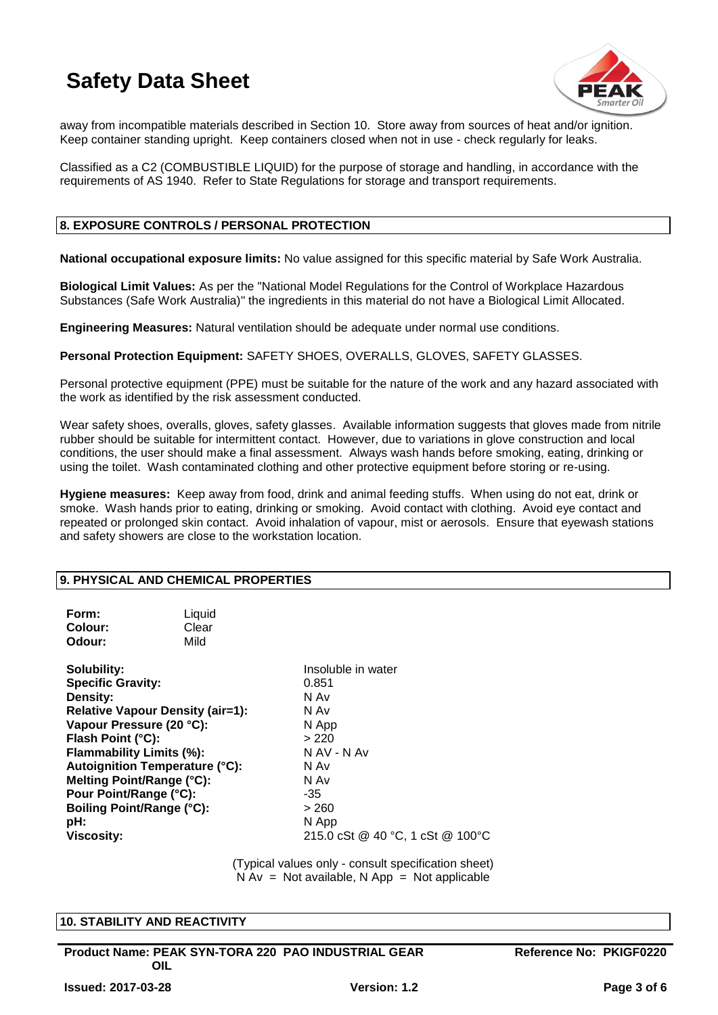

away from incompatible materials described in Section 10. Store away from sources of heat and/or ignition. Keep container standing upright. Keep containers closed when not in use - check regularly for leaks.

Classified as a C2 (COMBUSTIBLE LIQUID) for the purpose of storage and handling, in accordance with the requirements of AS 1940. Refer to State Regulations for storage and transport requirements.

# **8. EXPOSURE CONTROLS / PERSONAL PROTECTION**

**National occupational exposure limits:** No value assigned for this specific material by Safe Work Australia.

**Biological Limit Values:** As per the "National Model Regulations for the Control of Workplace Hazardous Substances (Safe Work Australia)" the ingredients in this material do not have a Biological Limit Allocated.

**Engineering Measures:** Natural ventilation should be adequate under normal use conditions.

**Personal Protection Equipment:** SAFETY SHOES, OVERALLS, GLOVES, SAFETY GLASSES.

Personal protective equipment (PPE) must be suitable for the nature of the work and any hazard associated with the work as identified by the risk assessment conducted.

Wear safety shoes, overalls, gloves, safety glasses. Available information suggests that gloves made from nitrile rubber should be suitable for intermittent contact. However, due to variations in glove construction and local conditions, the user should make a final assessment. Always wash hands before smoking, eating, drinking or using the toilet. Wash contaminated clothing and other protective equipment before storing or re-using.

**Hygiene measures:** Keep away from food, drink and animal feeding stuffs. When using do not eat, drink or smoke. Wash hands prior to eating, drinking or smoking. Avoid contact with clothing. Avoid eye contact and repeated or prolonged skin contact. Avoid inhalation of vapour, mist or aerosols. Ensure that eyewash stations and safety showers are close to the workstation location.

# **9. PHYSICAL AND CHEMICAL PROPERTIES**

| Form:<br>Colour:<br>Odour:                                                                                                                                                                                                                       | Liquid<br>Clear<br>Mild                                                          |                                                                                                                                                          |
|--------------------------------------------------------------------------------------------------------------------------------------------------------------------------------------------------------------------------------------------------|----------------------------------------------------------------------------------|----------------------------------------------------------------------------------------------------------------------------------------------------------|
| Solubility:<br><b>Specific Gravity:</b><br>Density:<br>Vapour Pressure (20 °C):<br>Flash Point (°C):<br>Flammability Limits (%):<br>Melting Point/Range (°C):<br>Pour Point/Range (°C):<br>Boiling Point/Range (°C):<br>pH:<br><b>Viscosity:</b> | <b>Relative Vapour Density (air=1):</b><br><b>Autoignition Temperature (°C):</b> | Insoluble in water<br>0.851<br>N Av<br>N Av<br>N App<br>>220<br>N AV - N Av<br>N Av<br>N Av<br>-35<br>> 260<br>N App<br>215.0 cSt @ 40 °C, 1 cSt @ 100°C |
|                                                                                                                                                                                                                                                  |                                                                                  |                                                                                                                                                          |

(Typical values only - consult specification sheet)  $N Av = Not available, N App = Not applicable$ 

#### **10. STABILITY AND REACTIVITY**

**Product Name: PEAK SYN-TORA 220 PAO INDUSTRIAL GEAR OIL** 

**Reference No: PKIGF0220**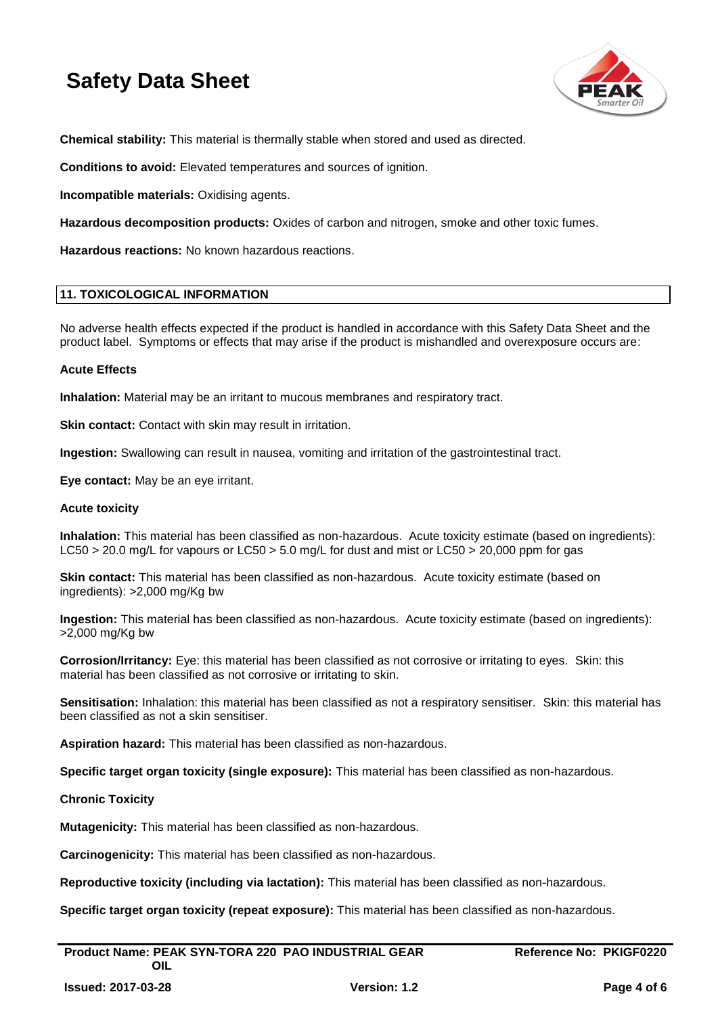

**Chemical stability:** This material is thermally stable when stored and used as directed.

**Conditions to avoid:** Elevated temperatures and sources of ignition.

**Incompatible materials:** Oxidising agents.

**Hazardous decomposition products:** Oxides of carbon and nitrogen, smoke and other toxic fumes.

**Hazardous reactions:** No known hazardous reactions.

#### **11. TOXICOLOGICAL INFORMATION**

No adverse health effects expected if the product is handled in accordance with this Safety Data Sheet and the product label. Symptoms or effects that may arise if the product is mishandled and overexposure occurs are:

#### **Acute Effects**

**Inhalation:** Material may be an irritant to mucous membranes and respiratory tract.

**Skin contact:** Contact with skin may result in irritation.

**Ingestion:** Swallowing can result in nausea, vomiting and irritation of the gastrointestinal tract.

**Eye contact:** May be an eye irritant.

#### **Acute toxicity**

**Inhalation:** This material has been classified as non-hazardous. Acute toxicity estimate (based on ingredients): LC50 > 20.0 mg/L for vapours or LC50 > 5.0 mg/L for dust and mist or LC50 > 20,000 ppm for gas

**Skin contact:** This material has been classified as non-hazardous. Acute toxicity estimate (based on ingredients): >2,000 mg/Kg bw

**Ingestion:** This material has been classified as non-hazardous. Acute toxicity estimate (based on ingredients): >2,000 mg/Kg bw

**Corrosion/Irritancy:** Eye: this material has been classified as not corrosive or irritating to eyes. Skin: this material has been classified as not corrosive or irritating to skin.

**Sensitisation:** Inhalation: this material has been classified as not a respiratory sensitiser. Skin: this material has been classified as not a skin sensitiser.

**Aspiration hazard:** This material has been classified as non-hazardous.

**Specific target organ toxicity (single exposure):** This material has been classified as non-hazardous.

#### **Chronic Toxicity**

**Mutagenicity:** This material has been classified as non-hazardous.

**Carcinogenicity:** This material has been classified as non-hazardous.

**Reproductive toxicity (including via lactation):** This material has been classified as non-hazardous.

**Specific target organ toxicity (repeat exposure):** This material has been classified as non-hazardous.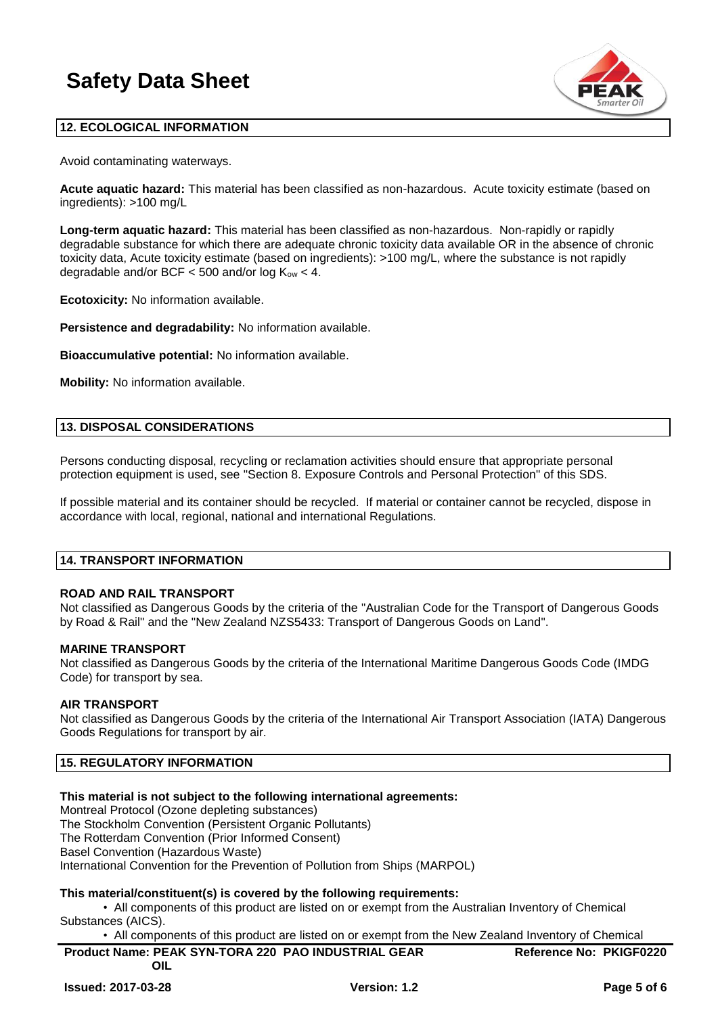

# **12. ECOLOGICAL INFORMATION**

Avoid contaminating waterways.

**Acute aquatic hazard:** This material has been classified as non-hazardous. Acute toxicity estimate (based on ingredients): >100 mg/L

**Long-term aquatic hazard:** This material has been classified as non-hazardous. Non-rapidly or rapidly degradable substance for which there are adequate chronic toxicity data available OR in the absence of chronic toxicity data, Acute toxicity estimate (based on ingredients): >100 mg/L, where the substance is not rapidly degradable and/or BCF  $<$  500 and/or log  $K_{ow}$   $<$  4.

**Ecotoxicity:** No information available.

**Persistence and degradability:** No information available.

**Bioaccumulative potential:** No information available.

**Mobility:** No information available.

#### **13. DISPOSAL CONSIDERATIONS**

Persons conducting disposal, recycling or reclamation activities should ensure that appropriate personal protection equipment is used, see "Section 8. Exposure Controls and Personal Protection" of this SDS.

If possible material and its container should be recycled. If material or container cannot be recycled, dispose in accordance with local, regional, national and international Regulations.

#### **14. TRANSPORT INFORMATION**

# **ROAD AND RAIL TRANSPORT**

Not classified as Dangerous Goods by the criteria of the "Australian Code for the Transport of Dangerous Goods by Road & Rail" and the "New Zealand NZS5433: Transport of Dangerous Goods on Land".

#### **MARINE TRANSPORT**

Not classified as Dangerous Goods by the criteria of the International Maritime Dangerous Goods Code (IMDG Code) for transport by sea.

#### **AIR TRANSPORT**

Not classified as Dangerous Goods by the criteria of the International Air Transport Association (IATA) Dangerous Goods Regulations for transport by air.

# **15. REGULATORY INFORMATION**

# **This material is not subject to the following international agreements:**

Montreal Protocol (Ozone depleting substances) The Stockholm Convention (Persistent Organic Pollutants)

The Rotterdam Convention (Prior Informed Consent)

Basel Convention (Hazardous Waste)

International Convention for the Prevention of Pollution from Ships (MARPOL)

# **This material/constituent(s) is covered by the following requirements:**

• All components of this product are listed on or exempt from the Australian Inventory of Chemical Substances (AICS).

• All components of this product are listed on or exempt from the New Zealand Inventory of Chemical

| <b>Product Name: PEAK SYN-TORA 220 PAO INDUSTRIAL GEAR</b> | <b>Reference No: PKIGF0220</b> |
|------------------------------------------------------------|--------------------------------|
| OIL                                                        |                                |